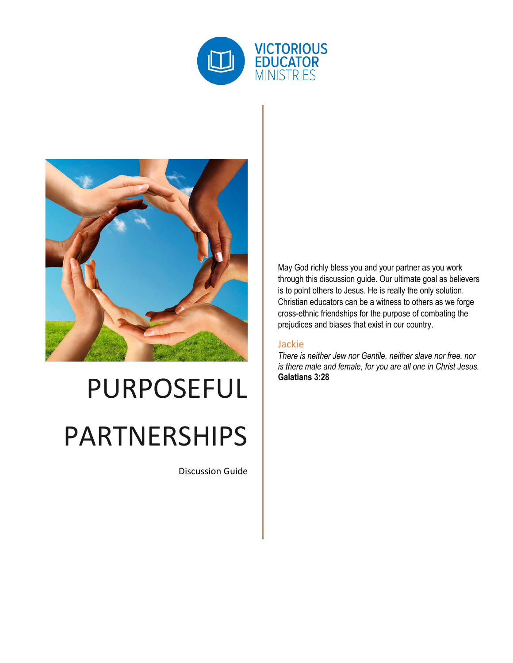



# PURPOSEFUL PARTNERSHIPS

Discussion Guide

May God richly bless you and your partner as you work through this discussion guide. Our ultimate goal as believers is to point others to Jesus. He is really the only solution. Christian educators can be a witness to others as we forge cross-ethnic friendships for the purpose of combating the prejudices and biases that exist in our country.

#### Jackie

*There is neither Jew nor Gentile, neither slave nor free, nor is there male and female, for you are all one in Christ Jesus.* **Galatians 3:28**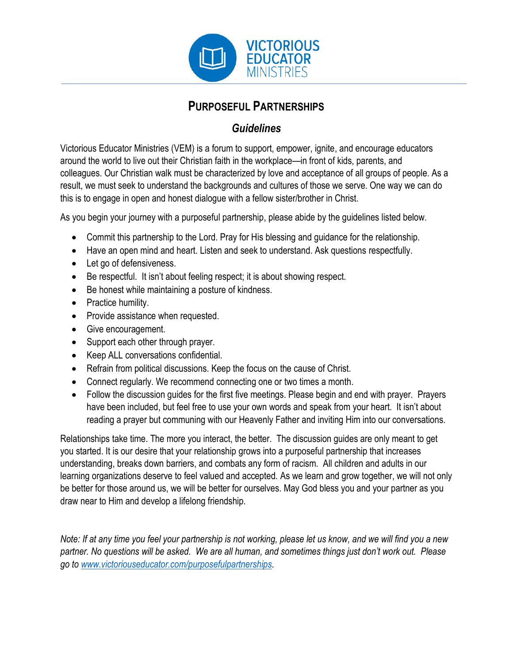

## **PURPOSEFUL PARTNERSHIPS**

## *Guidelines*

Victorious Educator Ministries (VEM) is a forum to support, empower, ignite, and encourage educators around the world to live out their Christian faith in the workplace—in front of kids, parents, and colleagues. Our Christian walk must be characterized by love and acceptance of all groups of people. As a result, we must seek to understand the backgrounds and cultures of those we serve. One way we can do this is to engage in open and honest dialogue with a fellow sister/brother in Christ.

As you begin your journey with a purposeful partnership, please abide by the guidelines listed below.

- Commit this partnership to the Lord. Pray for His blessing and guidance for the relationship.
- Have an open mind and heart. Listen and seek to understand. Ask questions respectfully.
- Let go of defensiveness.
- Be respectful. It isn't about feeling respect; it is about showing respect.
- Be honest while maintaining a posture of kindness.
- Practice humility.
- Provide assistance when requested.
- Give encouragement.
- Support each other through prayer.
- Keep ALL conversations confidential.
- Refrain from political discussions. Keep the focus on the cause of Christ.
- Connect regularly. We recommend connecting one or two times a month.
- Follow the discussion guides for the first five meetings. Please begin and end with prayer. Prayers have been included, but feel free to use your own words and speak from your heart. It isn't about reading a prayer but communing with our Heavenly Father and inviting Him into our conversations.

Relationships take time. The more you interact, the better. The discussion guides are only meant to get you started. It is our desire that your relationship grows into a purposeful partnership that increases understanding, breaks down barriers, and combats any form of racism. All children and adults in our learning organizations deserve to feel valued and accepted. As we learn and grow together, we will not only be better for those around us, we will be better for ourselves. May God bless you and your partner as you draw near to Him and develop a lifelong friendship.

*Note: If at any time you feel your partnership is not working, please let us know, and we will find you a new partner. No questions will be asked. We are all human, and sometimes things just don't work out. Please go to [www.victoriouseducator.com/purposefulpartnerships.](http://www.victoriouseducator.com/purposefulpartnerships)*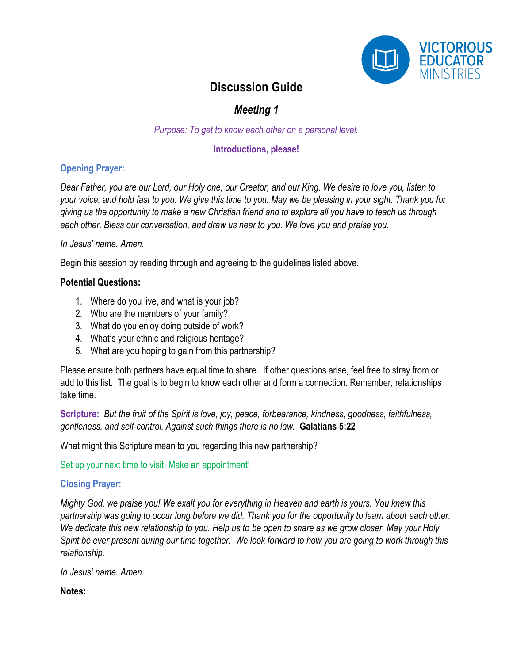

## *Meeting 1*

*Purpose: To get to know each other on a personal level.*

#### **Introductions, please!**

#### **Opening Prayer:**

*Dear Father, you are our Lord, our Holy one, our Creator, and our King. We desire to love you, listen to your voice, and hold fast to you. We give this time to you. May we be pleasing in your sight. Thank you for giving us the opportunity to make a new Christian friend and to explore all you have to teach us through each other. Bless our conversation, and draw us near to you. We love you and praise you.* 

#### *In Jesus' name. Amen.*

Begin this session by reading through and agreeing to the guidelines listed above.

#### **Potential Questions:**

- 1. Where do you live, and what is your job?
- 2. Who are the members of your family?
- 3. What do you enjoy doing outside of work?
- 4. What's your ethnic and religious heritage?
- 5. What are you hoping to gain from this partnership?

Please ensure both partners have equal time to share. If other questions arise, feel free to stray from or add to this list. The goal is to begin to know each other and form a connection. Remember, relationships take time.

**Scripture:** *But the fruit of the Spirit is love, joy, peace, forbearance, kindness, goodness, faithfulness, gentleness, and self-control. Against such things there is no law.* **Galatians 5:22**

What might this Scripture mean to you regarding this new partnership?

Set up your next time to visit. Make an appointment!

#### **Closing Prayer:**

*Mighty God, we praise you! We exalt you for everything in Heaven and earth is yours. You knew this partnership was going to occur long before we did. Thank you for the opportunity to learn about each other. We dedicate this new relationship to you. Help us to be open to share as we grow closer. May your Holy Spirit be ever present during our time together. We look forward to how you are going to work through this relationship.*

*In Jesus' name. Amen.*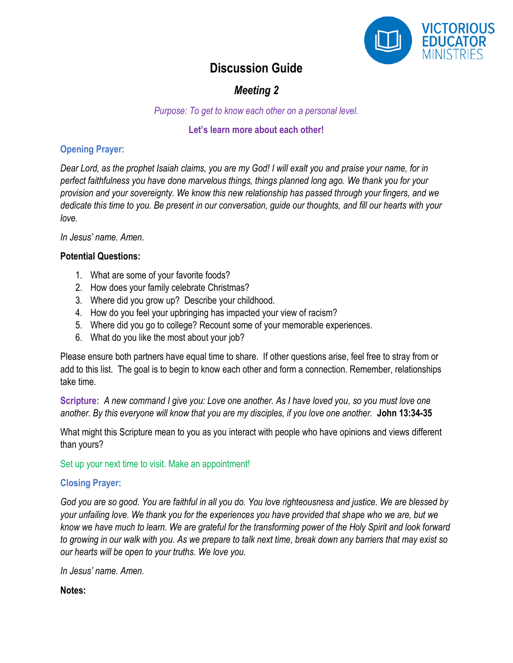

## *Meeting 2*

*Purpose: To get to know each other on a personal level.*

#### **Let's learn more about each other!**

#### **Opening Prayer:**

*Dear Lord, as the prophet Isaiah claims, you are my God! I will exalt you and praise your name, for in perfect faithfulness you have done marvelous things, things planned long ago. We thank you for your provision and your sovereignty. We know this new relationship has passed through your fingers, and we dedicate this time to you. Be present in our conversation, guide our thoughts, and fill our hearts with your love.* 

*In Jesus' name. Amen.*

#### **Potential Questions:**

- 1. What are some of your favorite foods?
- 2. How does your family celebrate Christmas?
- 3. Where did you grow up? Describe your childhood.
- 4. How do you feel your upbringing has impacted your view of racism?
- 5. Where did you go to college? Recount some of your memorable experiences.
- 6. What do you like the most about your job?

Please ensure both partners have equal time to share. If other questions arise, feel free to stray from or add to this list. The goal is to begin to know each other and form a connection. Remember, relationships take time.

**Scripture:** *A new command I give you: Love one another. As I have loved you, so you must love one another. By this everyone will know that you are my disciples, if you love one another.* **John 13:34-35**

What might this Scripture mean to you as you interact with people who have opinions and views different than yours?

Set up your next time to visit. Make an appointment!

#### **Closing Prayer:**

*God you are so good. You are faithful in all you do. You love righteousness and justice. We are blessed by your unfailing love. We thank you for the experiences you have provided that shape who we are, but we know we have much to learn. We are grateful for the transforming power of the Holy Spirit and look forward to growing in our walk with you. As we prepare to talk next time, break down any barriers that may exist so our hearts will be open to your truths. We love you.* 

*In Jesus' name. Amen.*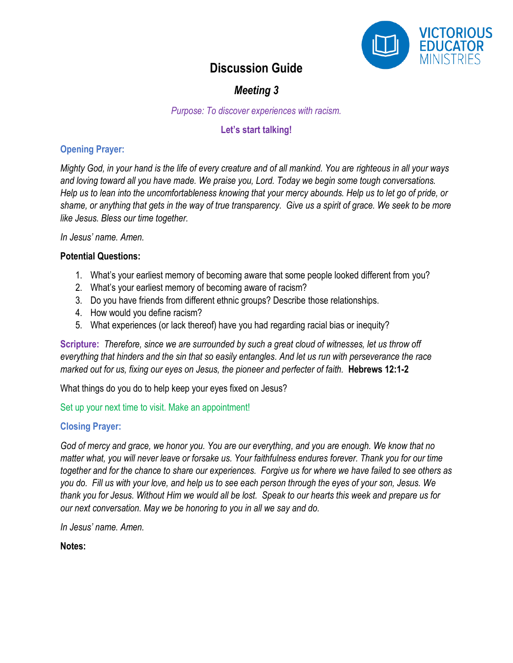

## *Meeting 3*

*Purpose: To discover experiences with racism.*

#### **Let's start talking!**

#### **Opening Prayer:**

*Mighty God, in your hand is the life of every creature and of all mankind. You are righteous in all your ways and loving toward all you have made. We praise you, Lord. Today we begin some tough conversations. Help us to lean into the uncomfortableness knowing that your mercy abounds. Help us to let go of pride, or shame, or anything that gets in the way of true transparency. Give us a spirit of grace. We seek to be more like Jesus. Bless our time together.*

*In Jesus' name. Amen.*

#### **Potential Questions:**

- 1. What's your earliest memory of becoming aware that some people looked different from you?
- 2. What's your earliest memory of becoming aware of racism?
- 3. Do you have friends from different ethnic groups? Describe those relationships.
- 4. How would you define racism?
- 5. What experiences (or lack thereof) have you had regarding racial bias or inequity?

**Scripture:** *Therefore, since we are surrounded by such a great cloud of witnesses, let us throw off everything that hinders and the sin that so easily entangles. And let us run with perseverance the race marked out for us, fixing our eyes on Jesus, the pioneer and perfecter of faith.* **Hebrews 12:1-2** 

What things do you do to help keep your eyes fixed on Jesus?

#### Set up your next time to visit. Make an appointment!

#### **Closing Prayer:**

*God of mercy and grace, we honor you. You are our everything, and you are enough. We know that no matter what, you will never leave or forsake us. Your faithfulness endures forever. Thank you for our time together and for the chance to share our experiences. Forgive us for where we have failed to see others as you do. Fill us with your love, and help us to see each person through the eyes of your son, Jesus. We thank you for Jesus. Without Him we would all be lost. Speak to our hearts this week and prepare us for our next conversation. May we be honoring to you in all we say and do.* 

*In Jesus' name. Amen.*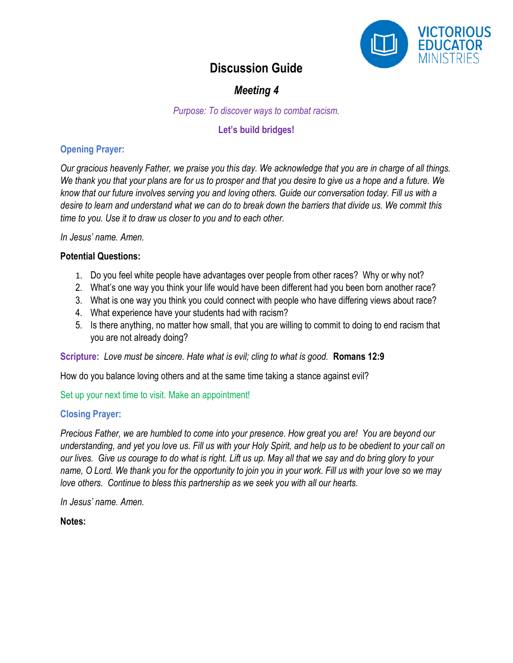

## *Meeting 4*

*Purpose: To discover ways to combat racism.*

#### **Let's build bridges!**

#### **Opening Prayer:**

*Our gracious heavenly Father, we praise you this day. We acknowledge that you are in charge of all things. We thank you that your plans are for us to prosper and that you desire to give us a hope and a future. We know that our future involves serving you and loving others. Guide our conversation today. Fill us with a desire to learn and understand what we can do to break down the barriers that divide us. We commit this time to you. Use it to draw us closer to you and to each other.*

*In Jesus' name. Amen.*

#### **Potential Questions:**

- 1. Do you feel white people have advantages over people from other races? Why or why not?
- 2. What's one way you think your life would have been different had you been born another race?
- 3. What is one way you think you could connect with people who have differing views about race?
- 4. What experience have your students had with racism?
- 5. Is there anything, no matter how small, that you are willing to commit to doing to end racism that you are not already doing?

**Scripture:** *Love must be sincere. Hate what is evil; cling to what is good.* **Romans 12:9**

How do you balance loving others and at the same time taking a stance against evil?

Set up your next time to visit. Make an appointment!

#### **Closing Prayer:**

*Precious Father, we are humbled to come into your presence. How great you are! You are beyond our understanding, and yet you love us. Fill us with your Holy Spirit, and help us to be obedient to your call on our lives. Give us courage to do what is right. Lift us up. May all that we say and do bring glory to your name, O Lord. We thank you for the opportunity to join you in your work. Fill us with your love so we may love others. Continue to bless this partnership as we seek you with all our hearts.*

*In Jesus' name. Amen.*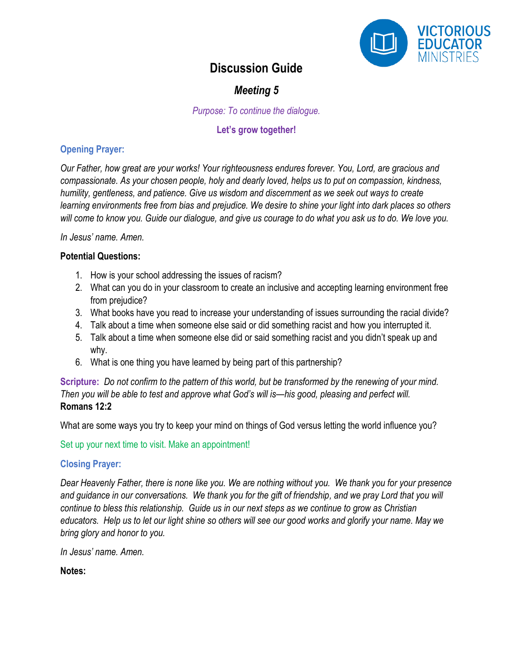

## *Meeting 5*

*Purpose: To continue the dialogue.*

#### **Let's grow together!**

#### **Opening Prayer:**

*Our Father, how great are your works! Your righteousness endures forever. You, Lord, are gracious and compassionate. As your chosen people, holy and dearly loved, helps us to put on compassion, kindness, humility, gentleness, and patience. Give us wisdom and discernment as we seek out ways to create learning environments free from bias and prejudice. We desire to shine your light into dark places so others will come to know you. Guide our dialogue, and give us courage to do what you ask us to do. We love you.*

*In Jesus' name. Amen.*

#### **Potential Questions:**

- 1. How is your school addressing the issues of racism?
- 2. What can you do in your classroom to create an inclusive and accepting learning environment free from prejudice?
- 3. What books have you read to increase your understanding of issues surrounding the racial divide?
- 4. Talk about a time when someone else said or did something racist and how you interrupted it.
- 5. Talk about a time when someone else did or said something racist and you didn't speak up and why.
- 6. What is one thing you have learned by being part of this partnership?

**Scripture:** *Do not confirm to the pattern of this world, but be transformed by the renewing of your mind. Then you will be able to test and approve what God's will is—his good, pleasing and perfect will.*  **Romans 12:2**

What are some ways you try to keep your mind on things of God versus letting the world influence you?

Set up your next time to visit. Make an appointment!

#### **Closing Prayer:**

*Dear Heavenly Father, there is none like you. We are nothing without you. We thank you for your presence and guidance in our conversations. We thank you for the gift of friendship, and we pray Lord that you will continue to bless this relationship. Guide us in our next steps as we continue to grow as Christian educators. Help us to let our light shine so others will see our good works and glorify your name. May we bring glory and honor to you.*

*In Jesus' name. Amen.*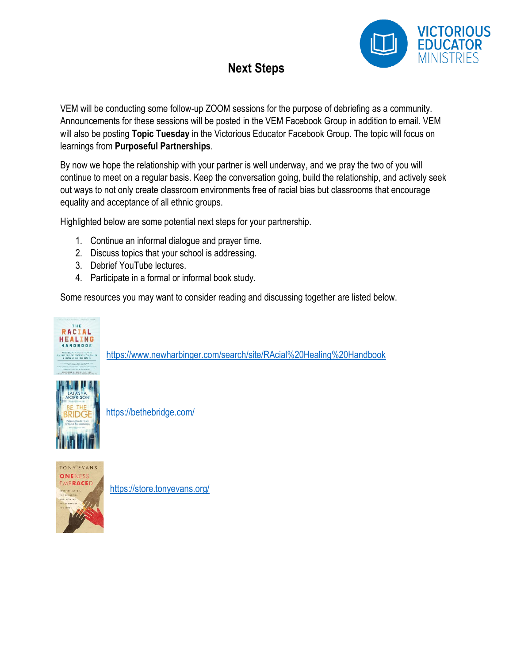

# **Next Steps**

VEM will be conducting some follow-up ZOOM sessions for the purpose of debriefing as a community. Announcements for these sessions will be posted in the VEM Facebook Group in addition to email. VEM will also be posting **Topic Tuesday** in the Victorious Educator Facebook Group. The topic will focus on learnings from **Purposeful Partnerships**.

By now we hope the relationship with your partner is well underway, and we pray the two of you will continue to meet on a regular basis. Keep the conversation going, build the relationship, and actively seek out ways to not only create classroom environments free of racial bias but classrooms that encourage equality and acceptance of all ethnic groups.

Highlighted below are some potential next steps for your partnership.

- 1. Continue an informal dialogue and prayer time.
- 2. Discuss topics that your school is addressing.
- 3. Debrief YouTube lectures.
- 4. Participate in a formal or informal book study.

Some resources you may want to consider reading and discussing together are listed below.



<https://www.newharbinger.com/search/site/RAcial%20Healing%20Handbook>



<https://bethebridge.com/>



<https://store.tonyevans.org/>